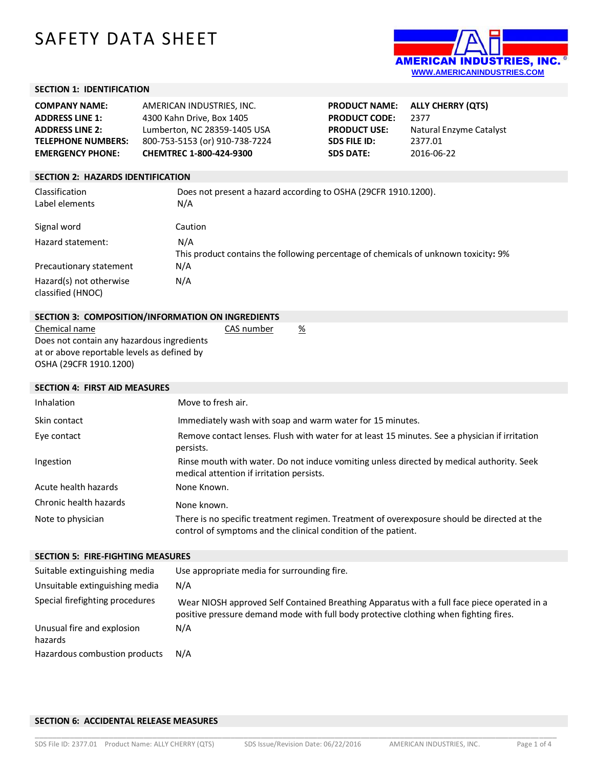# SAFETY DATA SHEET



#### **SECTION 1: IDENTIFICATION**

| <b>COMPANY NAME:</b>      | AMERICAN INDUSTRIES. INC.      | <b>PRODUCT NAME:</b> | ALLY CHERRY (QTS)       |
|---------------------------|--------------------------------|----------------------|-------------------------|
| <b>ADDRESS LINE 1:</b>    | 4300 Kahn Drive, Box 1405      | <b>PRODUCT CODE:</b> | 2377                    |
| <b>ADDRESS LINE 2:</b>    | Lumberton, NC 28359-1405 USA   | <b>PRODUCT USE:</b>  | Natural Enzyme Catalyst |
| <b>TELEPHONE NUMBERS:</b> | 800-753-5153 (or) 910-738-7224 | SDS FILE ID:         | 2377.01                 |
| <b>EMERGENCY PHONE:</b>   | CHEMTREC 1-800-424-9300        | <b>SDS DATE:</b>     | 2016-06-22              |

#### **SECTION 2: HAZARDS IDENTIFICATION**

**SECTION 4: FIRST AID MEASURES**

| Classification<br>Label elements             | Does not present a hazard according to OSHA (29CFR 1910.1200).<br>N/A                      |
|----------------------------------------------|--------------------------------------------------------------------------------------------|
| Signal word                                  | Caution                                                                                    |
| Hazard statement:                            | N/A<br>This product contains the following percentage of chemicals of unknown toxicity: 9% |
| Precautionary statement                      | N/A                                                                                        |
| Hazard(s) not otherwise<br>classified (HNOC) | N/A                                                                                        |

| SECTION 3: COMPOSITION/INFORMATION ON INGREDIENTS |            |   |
|---------------------------------------------------|------------|---|
| Chemical name                                     | CAS number | % |
| Does not contain any hazardous ingredients        |            |   |
| at or above reportable levels as defined by       |            |   |
| OSHA (29CFR 1910.1200)                            |            |   |

# Inhalation Move to fresh air. Skin contact **Immediately wash with soap and warm water for 15 minutes.** Eye contact Remove contact lenses. Flush with water for at least 15 minutes. See a physician if irritation persists. Ingestion **Rinse mouth with water. Do not induce vomiting unless directed by medical authority. Seek** medical attention if irritation persists. Acute health hazards None Known. Chronic health hazards None known. Note to physician There is no specific treatment regimen. Treatment of overexposure should be directed at the control of symptoms and the clinical condition of the patient.

# **SECTION 5: FIRE-FIGHTING MEASURES** Suitable extinguishing media Use appropriate media for surrounding fire. Unsuitable extinguishing media N/A Special firefighting procedures Wear NIOSH approved Self Contained Breathing Apparatus with a full face piece operated in a positive pressure demand mode with full body protective clothing when fighting fires. Unusual fire and explosion hazards N/A Hazardous combustion products N/A

## **SECTION 6: ACCIDENTAL RELEASE MEASURES**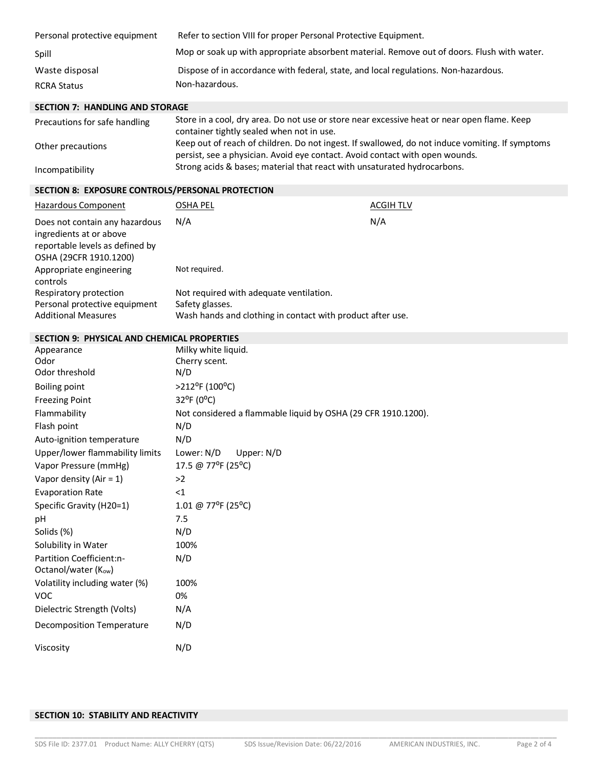| Personal protective equipment | Refer to section VIII for proper Personal Protective Equipment.                            |
|-------------------------------|--------------------------------------------------------------------------------------------|
| Spill                         | Mop or soak up with appropriate absorbent material. Remove out of doors. Flush with water. |
| Waste disposal                | Dispose of in accordance with federal, state, and local regulations. Non-hazardous.        |
| <b>RCRA Status</b>            | Non-hazardous.                                                                             |

# **SECTION 7: HANDLING AND STORAGE**

| Precautions for safe handling | Store in a cool, dry area. Do not use or store near excessive heat or near open flame. Keep<br>container tightly sealed when not in use.                                        |
|-------------------------------|---------------------------------------------------------------------------------------------------------------------------------------------------------------------------------|
| Other precautions             | Keep out of reach of children. Do not ingest. If swallowed, do not induce vomiting. If symptoms<br>persist, see a physician. Avoid eve contact. Avoid contact with open wounds. |
| Incompatibility               | Strong acids & bases; material that react with unsaturated hydrocarbons.                                                                                                        |

# **SECTION 8: EXPOSURE CONTROLS/PERSONAL PROTECTION**

| Hazardous Component                                                                                                    | OSHA PEL                                                   | <b>ACGIH TLV</b> |
|------------------------------------------------------------------------------------------------------------------------|------------------------------------------------------------|------------------|
| Does not contain any hazardous<br>ingredients at or above<br>reportable levels as defined by<br>OSHA (29CFR 1910.1200) | N/A                                                        | N/A              |
| Appropriate engineering<br>controls                                                                                    | Not required.                                              |                  |
| Respiratory protection                                                                                                 | Not required with adequate ventilation.                    |                  |
| Personal protective equipment                                                                                          | Safety glasses.                                            |                  |
| <b>Additional Measures</b>                                                                                             | Wash hands and clothing in contact with product after use. |                  |

# **SECTION 9: PHYSICAL AND CHEMICAL PROPERTIES**

| Appearance                       | Milky white liquid.                                           |
|----------------------------------|---------------------------------------------------------------|
| Odor                             | Cherry scent.                                                 |
| Odor threshold                   | N/D                                                           |
| <b>Boiling point</b>             | >212°F (100°C)                                                |
| <b>Freezing Point</b>            | 32°F (0°C)                                                    |
| Flammability                     | Not considered a flammable liquid by OSHA (29 CFR 1910.1200). |
| Flash point                      | N/D                                                           |
| Auto-ignition temperature        | N/D                                                           |
| Upper/lower flammability limits  | Lower: N/D<br>Upper: N/D                                      |
| Vapor Pressure (mmHg)            | 17.5 @ 77°F (25°C)                                            |
| Vapor density (Air = $1$ )       | >2                                                            |
| <b>Evaporation Rate</b>          | $<$ 1                                                         |
| Specific Gravity (H20=1)         | 1.01 @ 77°F (25°C)                                            |
| рH                               | 7.5                                                           |
| Solids (%)                       | N/D                                                           |
| Solubility in Water              | 100%                                                          |
| Partition Coefficient:n-         | N/D                                                           |
| Octanol/water (K <sub>ow</sub> ) |                                                               |
| Volatility including water (%)   | 100%                                                          |
| <b>VOC</b>                       | 0%                                                            |
| Dielectric Strength (Volts)      | N/A                                                           |
| Decomposition Temperature        | N/D                                                           |
| Viscosity                        | N/D                                                           |

# **SECTION 10: STABILITY AND REACTIVITY**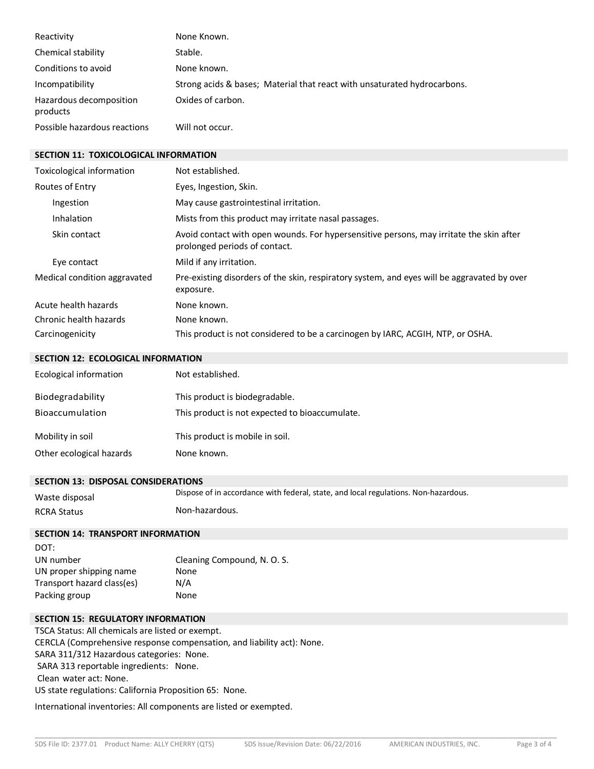| Reactivity                          | None Known.                                                              |
|-------------------------------------|--------------------------------------------------------------------------|
| Chemical stability                  | Stable.                                                                  |
| Conditions to avoid                 | None known.                                                              |
| Incompatibility                     | Strong acids & bases; Material that react with unsaturated hydrocarbons. |
| Hazardous decomposition<br>products | Oxides of carbon.                                                        |
| Possible hazardous reactions        | Will not occur.                                                          |

#### **SECTION 11: TOXICOLOGICAL INFORMATION**

| Toxicological information    | Not established.                                                                                                         |
|------------------------------|--------------------------------------------------------------------------------------------------------------------------|
| Routes of Entry              | Eyes, Ingestion, Skin.                                                                                                   |
| Ingestion                    | May cause gastrointestinal irritation.                                                                                   |
| Inhalation                   | Mists from this product may irritate nasal passages.                                                                     |
| Skin contact                 | Avoid contact with open wounds. For hypersensitive persons, may irritate the skin after<br>prolonged periods of contact. |
| Eye contact                  | Mild if any irritation.                                                                                                  |
| Medical condition aggravated | Pre-existing disorders of the skin, respiratory system, and eyes will be aggravated by over<br>exposure.                 |
| Acute health hazards         | None known.                                                                                                              |
| Chronic health hazards       | None known.                                                                                                              |
| Carcinogenicity              | This product is not considered to be a carcinogen by IARC, ACGIH, NTP, or OSHA.                                          |

#### **SECTION 12: ECOLOGICAL INFORMATION**

| Ecological information   | Not established.                               |
|--------------------------|------------------------------------------------|
| Biodegradability         | This product is biodegradable.                 |
| <b>Bioaccumulation</b>   | This product is not expected to bioaccumulate. |
| Mobility in soil         | This product is mobile in soil.                |
| Other ecological hazards | None known.                                    |

#### **SECTION 13: DISPOSAL CONSIDERATIONS**

Waste disposal Dispose of in accordance with federal, state, and local regulations. Non-hazardous. RCRA Status Non-hazardous.

# **SECTION 14: TRANSPORT INFORMATION**

| DOT:                       |                             |
|----------------------------|-----------------------------|
| UN number                  | Cleaning Compound, N. O. S. |
| UN proper shipping name    | None                        |
| Transport hazard class(es) | N/A                         |
| Packing group              | None                        |

### **SECTION 15: REGULATORY INFORMATION**

TSCA Status: All chemicals are listed or exempt. CERCLA (Comprehensive response compensation, and liability act): None. SARA 311/312 Hazardous categories: None. SARA 313 reportable ingredients: None. Clean water act: None. US state regulations: California Proposition 65: None.

International inventories: All components are listed or exempted.